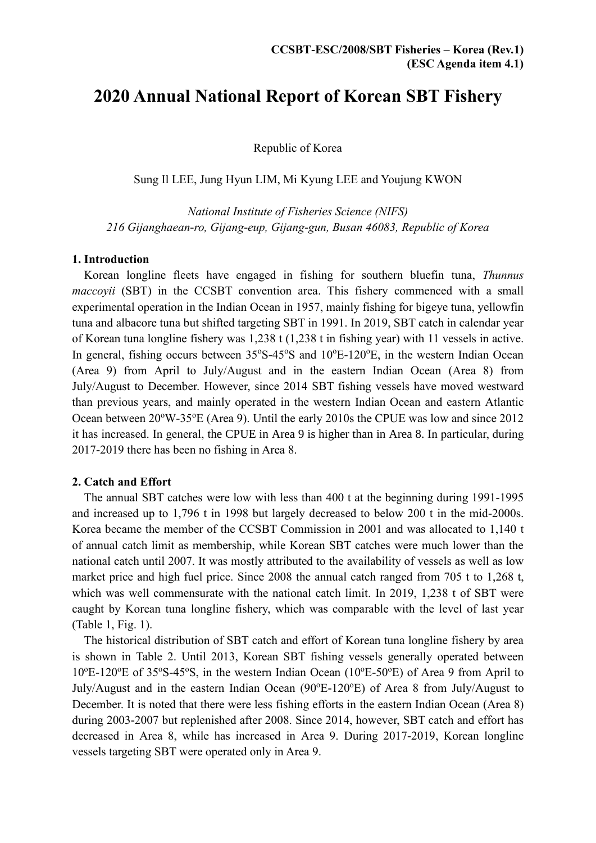# **2020 Annual National Report of Korean SBT Fishery**

Republic of Korea

Sung Il LEE, Jung Hyun LIM, Mi Kyung LEE and Youjung KWON

*National Institute of Fisheries Science (NIFS) 216 Gijanghaean-ro, Gijang-eup, Gijang-gun, Busan 46083, Republic of Korea*

#### **1. Introduction**

Korean longline fleets have engaged in fishing for southern bluefin tuna, *Thunnus maccoyii* (SBT) in the CCSBT convention area. This fishery commenced with a small experimental operation in the Indian Ocean in 1957, mainly fishing for bigeye tuna, yellowfin tuna and albacore tuna but shifted targeting SBT in 1991. In 2019, SBT catch in calendar year of Korean tuna longline fishery was 1,238 t (1,238 t in fishing year) with 11 vessels in active. In general, fishing occurs between 35°S-45°S and 10°E-120°E, in the western Indian Ocean (Area 9) from April to July/August and in the eastern Indian Ocean (Area 8) from July/August to December. However, since 2014 SBT fishing vessels have moved westward than previous years, and mainly operated in the western Indian Ocean and eastern Atlantic Ocean between 20°W-35°E (Area 9). Until the early 2010s the CPUE was low and since 2012 it has increased. In general, the CPUE in Area 9 is higher than in Area 8. In particular, during 2017-2019 there has been no fishing in Area 8.

#### **2. Catch and Effort**

The annual SBT catches were low with less than 400 t at the beginning during 1991-1995 and increased up to 1,796 t in 1998 but largely decreased to below 200 t in the mid-2000s. Korea became the member of the CCSBT Commission in 2001 and was allocated to 1,140 t of annual catch limit as membership, while Korean SBT catches were much lower than the national catch until 2007. It was mostly attributed to the availability of vessels as well as low market price and high fuel price. Since 2008 the annual catch ranged from 705 t to 1,268 t, which was well commensurate with the national catch limit. In 2019, 1,238 t of SBT were caught by Korean tuna longline fishery, which was comparable with the level of last year (Table 1, Fig. 1).

The historical distribution of SBT catch and effort of Korean tuna longline fishery by area is shown in Table 2. Until 2013, Korean SBT fishing vessels generally operated between 10°E-120°E of 35°S-45°S, in the western Indian Ocean (10°E-50°E) of Area 9 from April to July/August and in the eastern Indian Ocean (90°E-120°E) of Area 8 from July/August to December. It is noted that there were less fishing efforts in the eastern Indian Ocean (Area 8) during 2003-2007 but replenished after 2008. Since 2014, however, SBT catch and effort has decreased in Area 8, while has increased in Area 9. During 2017-2019, Korean longline vessels targeting SBT were operated only in Area 9.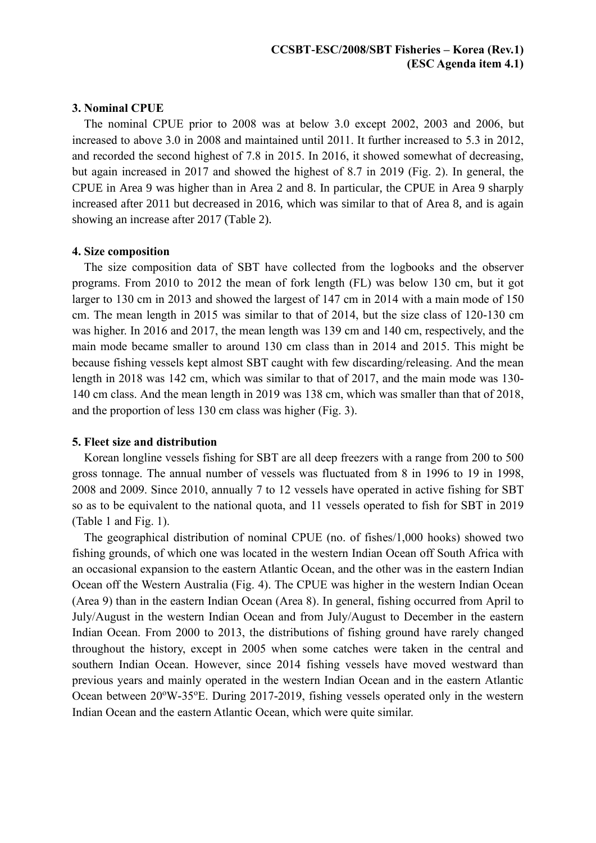#### **3. Nominal CPUE**

The nominal CPUE prior to 2008 was at below 3.0 except 2002, 2003 and 2006, but increased to above 3.0 in 2008 and maintained until 2011. It further increased to 5.3 in 2012, and recorded the second highest of 7.8 in 2015. In 2016, it showed somewhat of decreasing, but again increased in 2017 and showed the highest of 8.7 in 2019 (Fig. 2). In general, the CPUE in Area 9 was higher than in Area 2 and 8. In particular, the CPUE in Area 9 sharply increased after 2011 but decreased in 2016, which was similar to that of Area 8, and is again showing an increase after 2017 (Table 2).

#### **4. Size composition**

The size composition data of SBT have collected from the logbooks and the observer programs. From 2010 to 2012 the mean of fork length (FL) was below 130 cm, but it got larger to 130 cm in 2013 and showed the largest of 147 cm in 2014 with a main mode of 150 cm. The mean length in 2015 was similar to that of 2014, but the size class of 120-130 cm was higher. In 2016 and 2017, the mean length was 139 cm and 140 cm, respectively, and the main mode became smaller to around 130 cm class than in 2014 and 2015. This might be because fishing vessels kept almost SBT caught with few discarding/releasing. And the mean length in 2018 was 142 cm, which was similar to that of 2017, and the main mode was 130- 140 cm class. And the mean length in 2019 was 138 cm, which was smaller than that of 2018, and the proportion of less 130 cm class was higher (Fig. 3).

#### **5. Fleet size and distribution**

Korean longline vessels fishing for SBT are all deep freezers with a range from 200 to 500 gross tonnage. The annual number of vessels was fluctuated from 8 in 1996 to 19 in 1998, 2008 and 2009. Since 2010, annually 7 to 12 vessels have operated in active fishing for SBT so as to be equivalent to the national quota, and 11 vessels operated to fish for SBT in 2019 (Table 1 and Fig. 1).

The geographical distribution of nominal CPUE (no. of fishes/1,000 hooks) showed two fishing grounds, of which one was located in the western Indian Ocean off South Africa with an occasional expansion to the eastern Atlantic Ocean, and the other was in the eastern Indian Ocean off the Western Australia (Fig. 4). The CPUE was higher in the western Indian Ocean (Area 9) than in the eastern Indian Ocean (Area 8). In general, fishing occurred from April to July/August in the western Indian Ocean and from July/August to December in the eastern Indian Ocean. From 2000 to 2013, the distributions of fishing ground have rarely changed throughout the history, except in 2005 when some catches were taken in the central and southern Indian Ocean. However, since 2014 fishing vessels have moved westward than previous years and mainly operated in the western Indian Ocean and in the eastern Atlantic Ocean between  $20^{\circ}$ W-35<sup>o</sup>E. During 2017-2019, fishing vessels operated only in the western Indian Ocean and the eastern Atlantic Ocean, which were quite similar.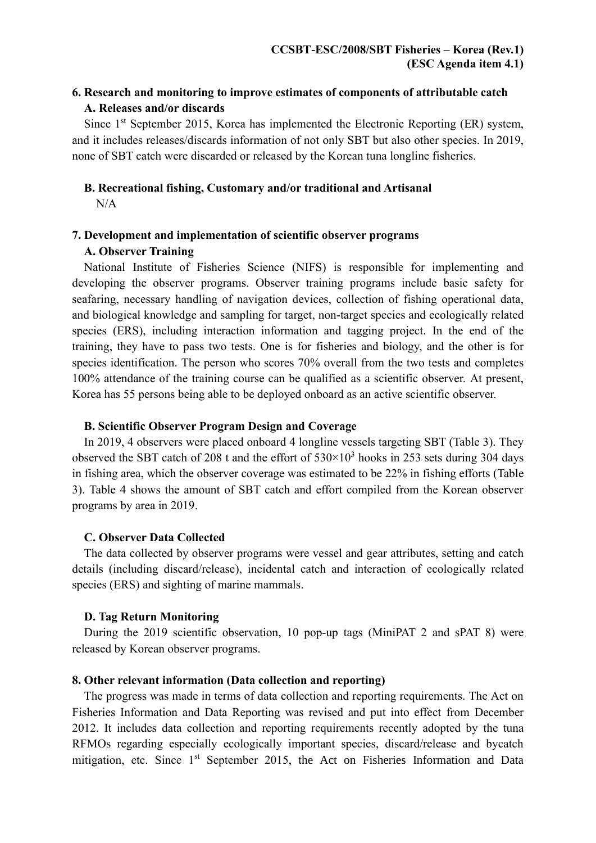## **6. Research and monitoring to improve estimates of components of attributable catch A. Releases and/or discards**

Since 1st September 2015, Korea has implemented the Electronic Reporting (ER) system, and it includes releases/discards information of not only SBT but also other species. In 2019, none of SBT catch were discarded or released by the Korean tuna longline fisheries.

# **B. Recreational fishing, Customary and/or traditional and Artisanal**

 $N/A$ 

# **7. Development and implementation of scientific observer programs**

## **A. Observer Training**

National Institute of Fisheries Science (NIFS) is responsible for implementing and developing the observer programs. Observer training programs include basic safety for seafaring, necessary handling of navigation devices, collection of fishing operational data, and biological knowledge and sampling for target, non-target species and ecologically related species (ERS), including interaction information and tagging project. In the end of the training, they have to pass two tests. One is for fisheries and biology, and the other is for species identification. The person who scores 70% overall from the two tests and completes 100% attendance of the training course can be qualified as a scientific observer. At present, Korea has 55 persons being able to be deployed onboard as an active scientific observer.

## **B. Scientific Observer Program Design and Coverage**

In 2019, 4 observers were placed onboard 4 longline vessels targeting SBT (Table 3). They observed the SBT catch of 208 t and the effort of  $530 \times 10^3$  hooks in 253 sets during 304 days in fishing area, which the observer coverage was estimated to be 22% in fishing efforts (Table 3). Table 4 shows the amount of SBT catch and effort compiled from the Korean observer programs by area in 2019.

## **C. Observer Data Collected**

The data collected by observer programs were vessel and gear attributes, setting and catch details (including discard/release), incidental catch and interaction of ecologically related species (ERS) and sighting of marine mammals.

## **D. Tag Return Monitoring**

During the 2019 scientific observation, 10 pop-up tags (MiniPAT 2 and sPAT 8) were released by Korean observer programs.

## **8. Other relevant information (Data collection and reporting)**

The progress was made in terms of data collection and reporting requirements. The Act on Fisheries Information and Data Reporting was revised and put into effect from December 2012. It includes data collection and reporting requirements recently adopted by the tuna RFMOs regarding especially ecologically important species, discard/release and bycatch mitigation, etc. Since 1<sup>st</sup> September 2015, the Act on Fisheries Information and Data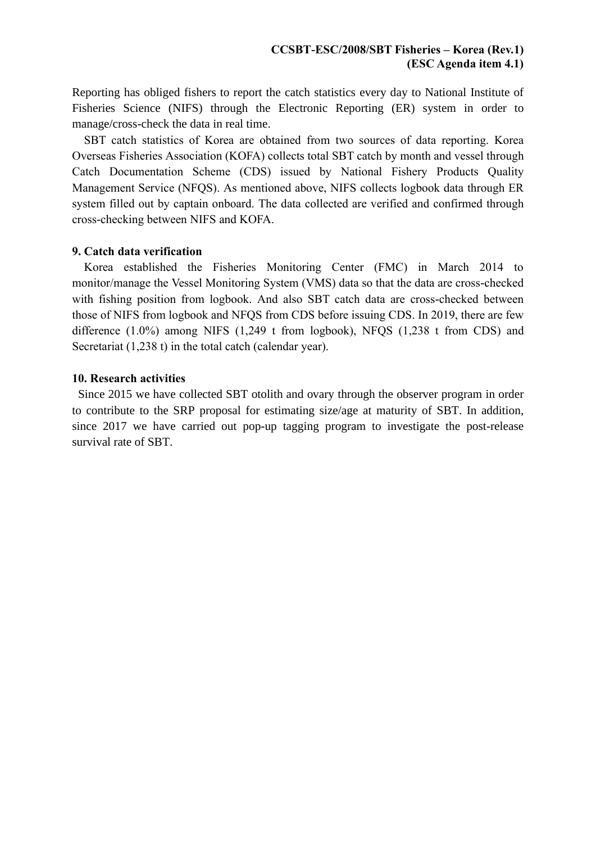Reporting has obliged fishers to report the catch statistics every day to National Institute of Fisheries Science (NIFS) through the Electronic Reporting (ER) system in order to manage/cross-check the data in real time.

SBT catch statistics of Korea are obtained from two sources of data reporting. Korea Overseas Fisheries Association (KOFA) collects total SBT catch by month and vessel through Catch Documentation Scheme (CDS) issued by National Fishery Products Quality Management Service (NFQS). As mentioned above, NIFS collects logbook data through ER system filled out by captain onboard. The data collected are verified and confirmed through cross-checking between NIFS and KOFA.

#### **9. Catch data verification**

Korea established the Fisheries Monitoring Center (FMC) in March 2014 to monitor/manage the Vessel Monitoring System (VMS) data so that the data are cross-checked with fishing position from logbook. And also SBT catch data are cross-checked between those of NIFS from logbook and NFQS from CDS before issuing CDS. In 2019, there are few difference (1.0%) among NIFS (1,249 t from logbook), NFQS (1,238 t from CDS) and Secretariat (1,238 t) in the total catch (calendar year).

#### **10. Research activities**

Since 2015 we have collected SBT otolith and ovary through the observer program in order to contribute to the SRP proposal for estimating size/age at maturity of SBT. In addition, since 2017 we have carried out pop-up tagging program to investigate the post-release survival rate of SBT.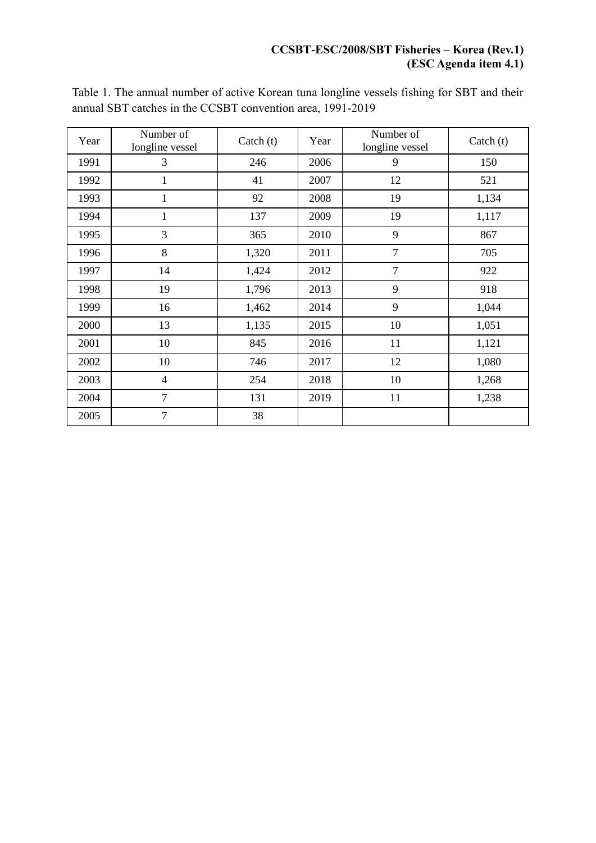## **CCSBT-ESC/2008/SBT Fisheries – Korea (Rev.1) (ESC Agenda item 4.1)**

| Year | Number of<br>longline vessel | Catch $(t)$ | Year | Number of<br>longline vessel | Catch $(t)$ |  |
|------|------------------------------|-------------|------|------------------------------|-------------|--|
| 1991 | 3                            | 246         | 2006 | 9                            | 150         |  |
| 1992 | 1                            | 41          | 2007 | 12                           | 521         |  |
| 1993 | $\mathbf{1}$                 | 92          | 2008 | 19                           | 1,134       |  |
| 1994 | 1                            | 137         | 2009 | 19                           | 1,117       |  |
| 1995 | 3                            | 365         | 2010 | 9                            | 867         |  |
| 1996 | 8                            | 1,320       | 2011 | $\overline{7}$               | 705         |  |
| 1997 | 14                           | 1,424       | 2012 | $\overline{7}$               | 922         |  |
| 1998 | 19                           | 1,796       | 2013 | 9                            | 918         |  |
| 1999 | 16                           | 1,462       | 2014 | 9                            | 1,044       |  |
| 2000 | 13                           | 1,135       | 2015 | 10                           | 1,051       |  |
| 2001 | 10                           | 845         | 2016 | 11                           | 1,121       |  |
| 2002 | 10                           | 746         | 2017 | 12                           | 1,080       |  |
| 2003 | $\overline{4}$               | 254         | 2018 | 10                           | 1,268       |  |
| 2004 | $\overline{7}$               | 131         | 2019 | 11                           | 1,238       |  |
| 2005 | $\overline{7}$               | 38          |      |                              |             |  |

Table 1. The annual number of active Korean tuna longline vessels fishing for SBT and their annual SBT catches in the CCSBT convention area, 1991-2019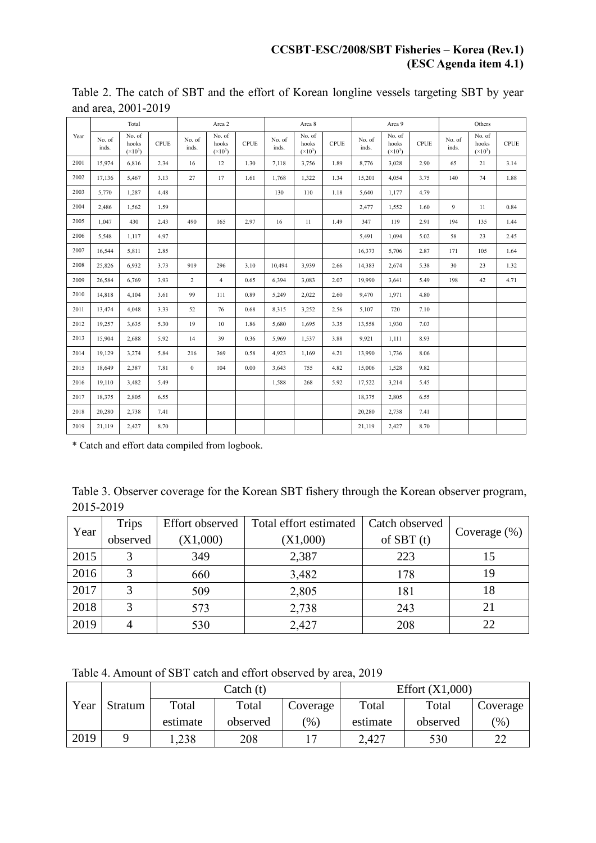|      | Total           |                                     | Area 2      |                 | Area 8                              |             | Area 9          |                                     |             | Others          |                                          |             |                 |                                                          |             |
|------|-----------------|-------------------------------------|-------------|-----------------|-------------------------------------|-------------|-----------------|-------------------------------------|-------------|-----------------|------------------------------------------|-------------|-----------------|----------------------------------------------------------|-------------|
| Year | No. of<br>inds. | No. of<br>hooks<br>$({\times}10^3)$ | <b>CPUE</b> | No. of<br>inds. | No. of<br>hooks<br>$({\times}10^3)$ | <b>CPUE</b> | No. of<br>inds. | No. of<br>hooks<br>$({\times}10^3)$ | <b>CPUE</b> | No. of<br>inds. | No. of<br>hooks<br>$({}^{\times}10^{3})$ | <b>CPUE</b> | No. of<br>inds. | $\overline{\text{No}}$ . of<br>hooks<br>$({\times}10^3)$ | <b>CPUE</b> |
| 2001 | 15,974          | 6,816                               | 2.34        | 16              | 12                                  | 1.30        | 7,118           | 3,756                               | 1.89        | 8,776           | 3,028                                    | 2.90        | 65              | 21                                                       | 3.14        |
| 2002 | 17,136          | 5,467                               | 3.13        | 27              | 17                                  | 1.61        | 1,768           | 1,322                               | 1.34        | 15,201          | 4,054                                    | 3.75        | 140             | 74                                                       | 1.88        |
| 2003 | 5,770           | 1,287                               | 4.48        |                 |                                     |             | 130             | 110                                 | 1.18        | 5,640           | 1,177                                    | 4.79        |                 |                                                          |             |
| 2004 | 2,486           | 1,562                               | 1.59        |                 |                                     |             |                 |                                     |             | 2,477           | 1,552                                    | 1.60        | 9               | 11                                                       | 0.84        |
| 2005 | 1,047           | 430                                 | 2.43        | 490             | 165                                 | 2.97        | 16              | 11                                  | 1.49        | 347             | 119                                      | 2.91        | 194             | 135                                                      | 1.44        |
| 2006 | 5,548           | 1,117                               | 4.97        |                 |                                     |             |                 |                                     |             | 5,491           | 1,094                                    | 5.02        | 58              | 23                                                       | 2.45        |
| 2007 | 16,544          | 5,811                               | 2.85        |                 |                                     |             |                 |                                     |             | 16,373          | 5,706                                    | 2.87        | 171             | 105                                                      | 1.64        |
| 2008 | 25,826          | 6,932                               | 3.73        | 919             | 296                                 | 3.10        | 10,494          | 3,939                               | 2.66        | 14,383          | 2,674                                    | 5.38        | 30              | 23                                                       | 1.32        |
| 2009 | 26,584          | 6,769                               | 3.93        | $\overline{c}$  | $\overline{4}$                      | 0.65        | 6,394           | 3,083                               | 2.07        | 19,990          | 3,641                                    | 5.49        | 198             | 42                                                       | 4.71        |
| 2010 | 14,818          | 4,104                               | 3.61        | 99              | 111                                 | 0.89        | 5,249           | 2,022                               | 2.60        | 9,470           | 1,971                                    | 4.80        |                 |                                                          |             |
| 2011 | 13,474          | 4,048                               | 3.33        | 52              | 76                                  | 0.68        | 8,315           | 3,252                               | 2.56        | 5,107           | 720                                      | 7.10        |                 |                                                          |             |
| 2012 | 19,257          | 3,635                               | 5.30        | 19              | 10                                  | 1.86        | 5,680           | 1,695                               | 3.35        | 13,558          | 1,930                                    | 7.03        |                 |                                                          |             |
| 2013 | 15,904          | 2,688                               | 5.92        | 14              | 39                                  | 0.36        | 5,969           | 1,537                               | 3.88        | 9,921           | 1,111                                    | 8.93        |                 |                                                          |             |
| 2014 | 19,129          | 3,274                               | 5.84        | 216             | 369                                 | 0.58        | 4,923           | 1,169                               | 4.21        | 13,990          | 1,736                                    | 8.06        |                 |                                                          |             |
| 2015 | 18,649          | 2,387                               | 7.81        | $\bf{0}$        | 104                                 | 0.00        | 3,643           | 755                                 | 4.82        | 15,006          | 1,528                                    | 9.82        |                 |                                                          |             |
| 2016 | 19,110          | 3,482                               | 5.49        |                 |                                     |             | 1,588           | 268                                 | 5.92        | 17,522          | 3,214                                    | 5.45        |                 |                                                          |             |
| 2017 | 18,375          | 2,805                               | 6.55        |                 |                                     |             |                 |                                     |             | 18,375          | 2,805                                    | 6.55        |                 |                                                          |             |
| 2018 | 20,280          | 2,738                               | 7.41        |                 |                                     |             |                 |                                     |             | 20,280          | 2,738                                    | 7.41        |                 |                                                          |             |
| 2019 | 21,119          | 2,427                               | 8.70        |                 |                                     |             |                 |                                     |             | 21,119          | 2,427                                    | 8.70        |                 |                                                          |             |

Table 2. The catch of SBT and the effort of Korean longline vessels targeting SBT by year and area, 2001-2019

\* Catch and effort data compiled from logbook.

Table 3. Observer coverage for the Korean SBT fishery through the Korean observer program, 2015-2019

| Year | <b>Trips</b> | <b>Effort</b> observed | Total effort estimated | Catch observed |                 |  |
|------|--------------|------------------------|------------------------|----------------|-----------------|--|
|      | observed     | (X1,000)               | (X1,000)               | of $SBT(t)$    | Coverage $(\%)$ |  |
| 2015 |              | 349                    | 2,387                  | 223            |                 |  |
| 2016 |              | 660                    | 3,482                  | 178            | 19              |  |
| 2017 |              | 509                    | 2,805                  | 181            | 18              |  |
| 2018 | 2            | 573                    | 2,738                  | 243            | 21              |  |
| 2019 |              | 530                    | 2,427                  | 208            | 22              |  |

Table 4. Amount of SBT catch and effort observed by area, 2019

|      |         |          | Catch (t) |                         | Effort $(X1,000)$ |          |          |  |
|------|---------|----------|-----------|-------------------------|-------------------|----------|----------|--|
| Year | Stratum | Total    | Total     | Coverage                | Total             | Total    | Coverage |  |
|      |         | estimate | observed  | $\gamma$ <sup>(6)</sup> | estimate          | observed | $(\% )$  |  |
| 2019 |         | ,238     | 208       |                         | 2,427             | 530      | 22       |  |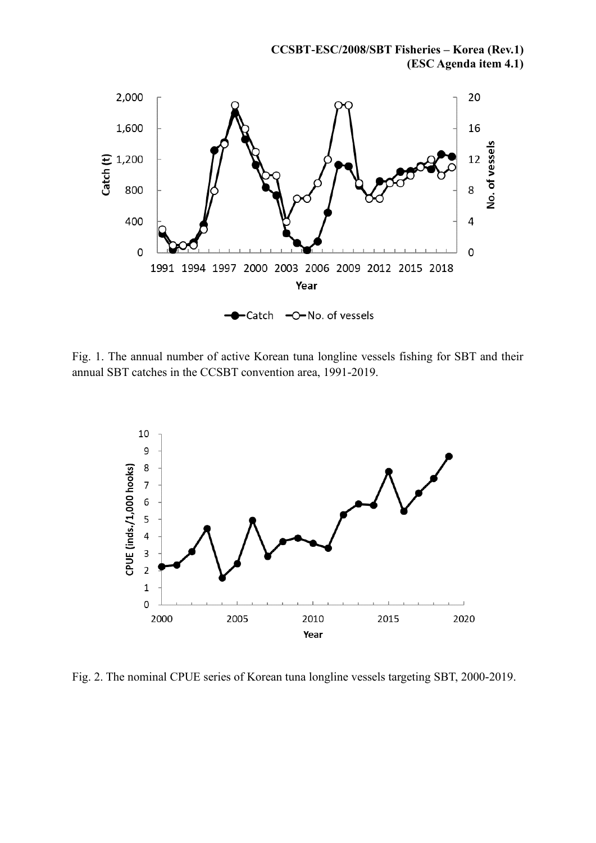**CCSBT-ESC/2008/SBT Fisheries – Korea (Rev.1) (ESC Agenda item 4.1)**



Fig. 1. The annual number of active Korean tuna longline vessels fishing for SBT and their annual SBT catches in the CCSBT convention area, 1991-2019.



Fig. 2. The nominal CPUE series of Korean tuna longline vessels targeting SBT, 2000-2019.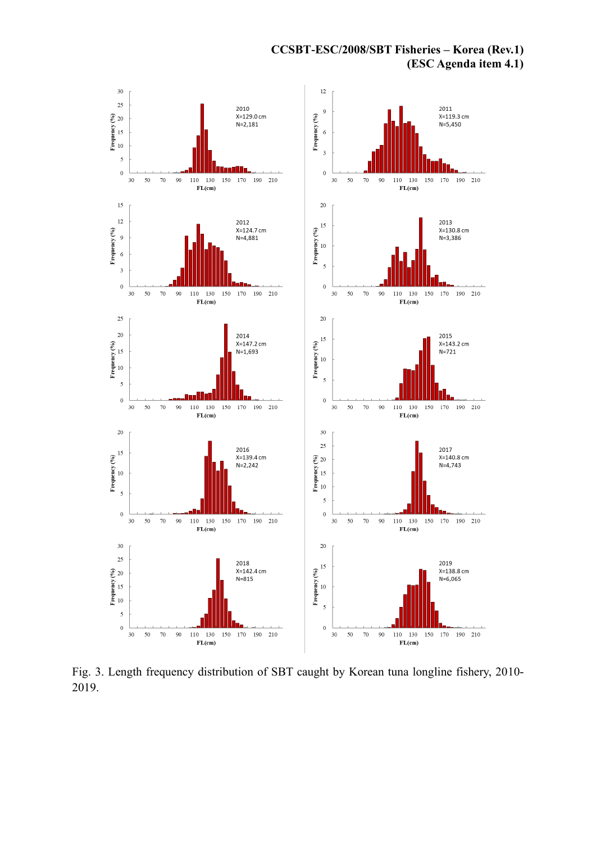**CCSBT-ESC/2008/SBT Fisheries – Korea (Rev.1) (ESC Agenda item 4.1)**



Fig. 3. Length frequency distribution of SBT caught by Korean tuna longline fishery, 2010- 2019.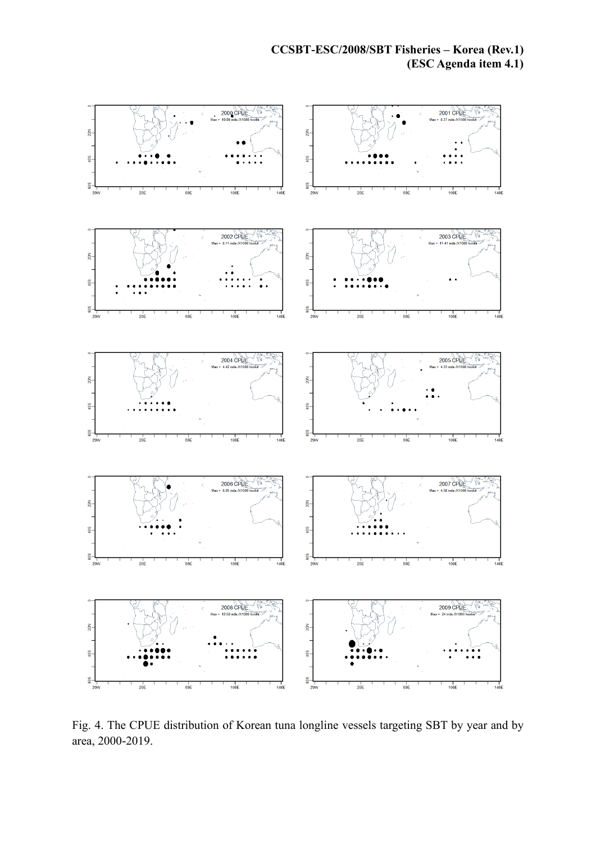

Fig. 4. The CPUE distribution of Korean tuna longline vessels targeting SBT by year and by area, 2000-2019.